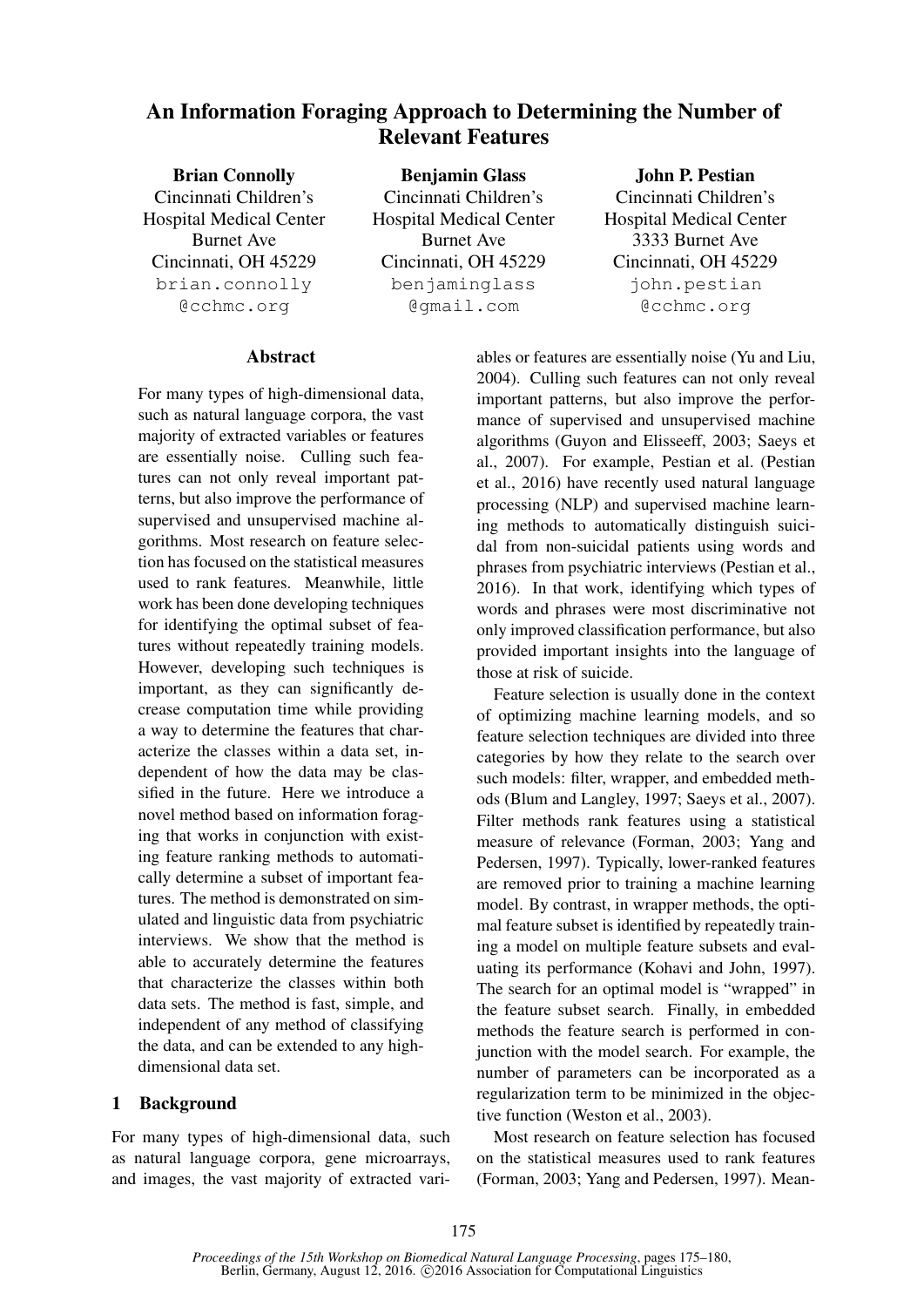# An Information Foraging Approach to Determining the Number of Relevant Features

| <b>Brian Connolly</b>          | <b>Benjamin Glass</b>          | <b>John P. Pestian</b>         |
|--------------------------------|--------------------------------|--------------------------------|
| Cincinnati Children's          | Cincinnati Children's          | Cincinnati Children's          |
| <b>Hospital Medical Center</b> | <b>Hospital Medical Center</b> | <b>Hospital Medical Center</b> |
| <b>Burnet Ave</b>              | <b>Burnet Ave</b>              | 3333 Burnet Ave                |
| Cincinnati, OH 45229           | Cincinnati, OH 45229           | Cincinnati, OH 45229           |
| brian.connolly                 | benjaminglass                  | john.pestian                   |
| @cchmc.org                     | @qmail.com                     | @cchmc.org                     |
|                                |                                |                                |

## **Abstract**

For many types of high-dimensional data, such as natural language corpora, the vast majority of extracted variables or features are essentially noise. Culling such features can not only reveal important patterns, but also improve the performance of supervised and unsupervised machine algorithms. Most research on feature selection has focused on the statistical measures used to rank features. Meanwhile, little work has been done developing techniques for identifying the optimal subset of features without repeatedly training models. However, developing such techniques is important, as they can significantly decrease computation time while providing a way to determine the features that characterize the classes within a data set, independent of how the data may be classified in the future. Here we introduce a novel method based on information foraging that works in conjunction with existing feature ranking methods to automatically determine a subset of important features. The method is demonstrated on simulated and linguistic data from psychiatric interviews. We show that the method is able to accurately determine the features that characterize the classes within both data sets. The method is fast, simple, and independent of any method of classifying the data, and can be extended to any highdimensional data set.

#### 1 Background

For many types of high-dimensional data, such as natural language corpora, gene microarrays, and images, the vast majority of extracted vari-

ables or features are essentially noise (Yu and Liu, 2004). Culling such features can not only reveal important patterns, but also improve the performance of supervised and unsupervised machine algorithms (Guyon and Elisseeff, 2003; Saeys et al., 2007). For example, Pestian et al. (Pestian et al., 2016) have recently used natural language processing (NLP) and supervised machine learning methods to automatically distinguish suicidal from non-suicidal patients using words and phrases from psychiatric interviews (Pestian et al., 2016). In that work, identifying which types of words and phrases were most discriminative not only improved classification performance, but also provided important insights into the language of those at risk of suicide.

Feature selection is usually done in the context of optimizing machine learning models, and so feature selection techniques are divided into three categories by how they relate to the search over such models: filter, wrapper, and embedded methods (Blum and Langley, 1997; Saeys et al., 2007). Filter methods rank features using a statistical measure of relevance (Forman, 2003; Yang and Pedersen, 1997). Typically, lower-ranked features are removed prior to training a machine learning model. By contrast, in wrapper methods, the optimal feature subset is identified by repeatedly training a model on multiple feature subsets and evaluating its performance (Kohavi and John, 1997). The search for an optimal model is "wrapped" in the feature subset search. Finally, in embedded methods the feature search is performed in conjunction with the model search. For example, the number of parameters can be incorporated as a regularization term to be minimized in the objective function (Weston et al., 2003).

Most research on feature selection has focused on the statistical measures used to rank features (Forman, 2003; Yang and Pedersen, 1997). Mean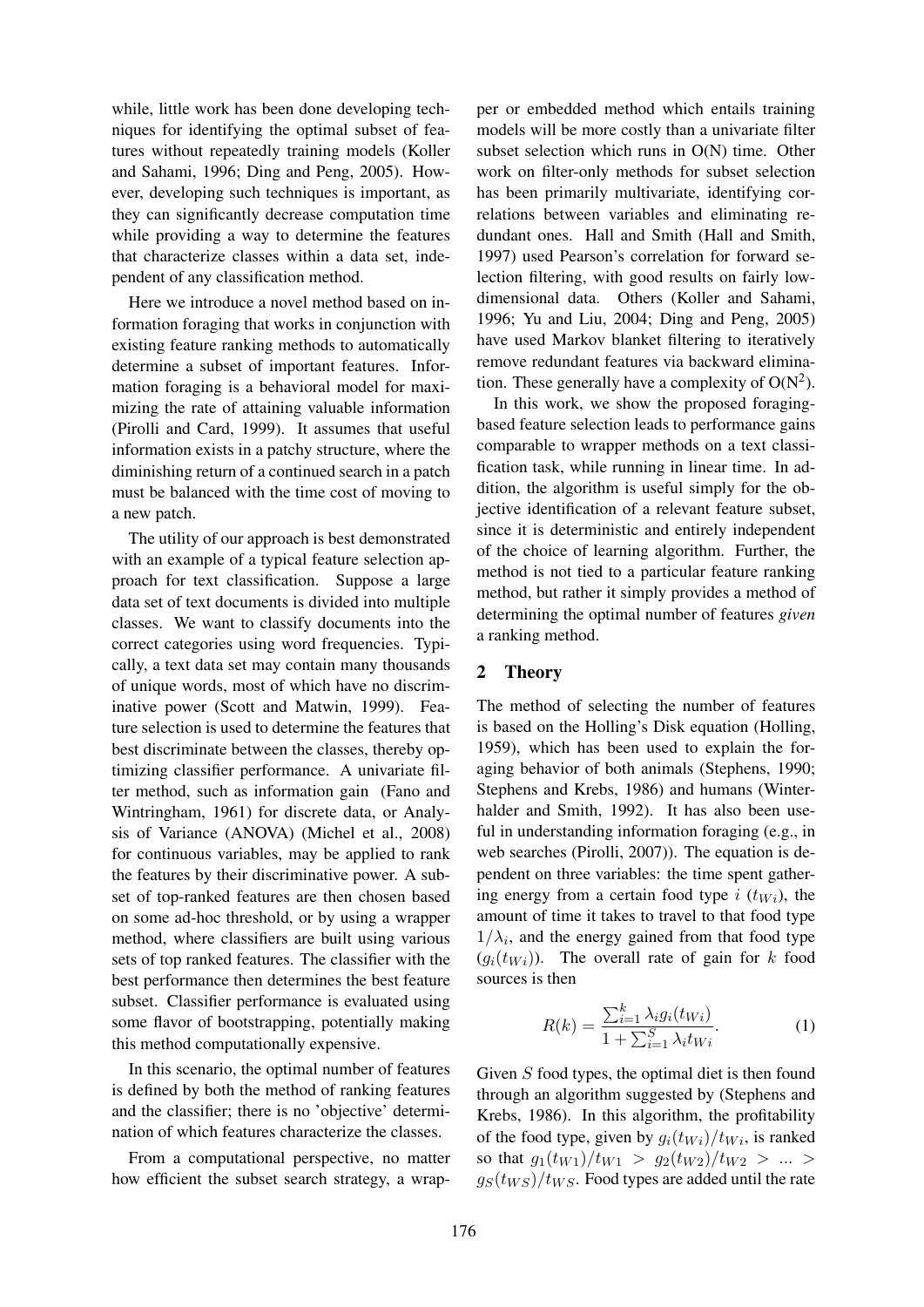while, little work has been done developing techniques for identifying the optimal subset of features without repeatedly training models (Koller and Sahami, 1996; Ding and Peng, 2005). However, developing such techniques is important, as they can significantly decrease computation time while providing a way to determine the features that characterize classes within a data set, independent of any classification method.

Here we introduce a novel method based on information foraging that works in conjunction with existing feature ranking methods to automatically determine a subset of important features. Information foraging is a behavioral model for maximizing the rate of attaining valuable information (Pirolli and Card, 1999). It assumes that useful information exists in a patchy structure, where the diminishing return of a continued search in a patch must be balanced with the time cost of moving to a new patch.

The utility of our approach is best demonstrated with an example of a typical feature selection approach for text classification. Suppose a large data set of text documents is divided into multiple classes. We want to classify documents into the correct categories using word frequencies. Typically, a text data set may contain many thousands of unique words, most of which have no discriminative power (Scott and Matwin, 1999). Feature selection is used to determine the features that best discriminate between the classes, thereby optimizing classifier performance. A univariate filter method, such as information gain (Fano and Wintringham, 1961) for discrete data, or Analysis of Variance (ANOVA) (Michel et al., 2008) for continuous variables, may be applied to rank the features by their discriminative power. A subset of top-ranked features are then chosen based on some ad-hoc threshold, or by using a wrapper method, where classifiers are built using various sets of top ranked features. The classifier with the best performance then determines the best feature subset. Classifier performance is evaluated using some flavor of bootstrapping, potentially making this method computationally expensive.

In this scenario, the optimal number of features is defined by both the method of ranking features and the classifier; there is no 'objective' determination of which features characterize the classes.

From a computational perspective, no matter how efficient the subset search strategy, a wrapper or embedded method which entails training models will be more costly than a univariate filter subset selection which runs in O(N) time. Other work on filter-only methods for subset selection has been primarily multivariate, identifying correlations between variables and eliminating redundant ones. Hall and Smith (Hall and Smith, 1997) used Pearson's correlation for forward selection filtering, with good results on fairly lowdimensional data. Others (Koller and Sahami, 1996; Yu and Liu, 2004; Ding and Peng, 2005) have used Markov blanket filtering to iteratively remove redundant features via backward elimination. These generally have a complexity of  $O(N^2)$ .

In this work, we show the proposed foragingbased feature selection leads to performance gains comparable to wrapper methods on a text classification task, while running in linear time. In addition, the algorithm is useful simply for the objective identification of a relevant feature subset, since it is deterministic and entirely independent of the choice of learning algorithm. Further, the method is not tied to a particular feature ranking method, but rather it simply provides a method of determining the optimal number of features *given* a ranking method.

## 2 Theory

The method of selecting the number of features is based on the Holling's Disk equation (Holling, 1959), which has been used to explain the foraging behavior of both animals (Stephens, 1990; Stephens and Krebs, 1986) and humans (Winterhalder and Smith, 1992). It has also been useful in understanding information foraging (e.g., in web searches (Pirolli, 2007)). The equation is dependent on three variables: the time spent gathering energy from a certain food type  $i$  ( $t_{Wi}$ ), the amount of time it takes to travel to that food type  $1/\lambda_i$ , and the energy gained from that food type  $(g_i(t_{Wi}))$ . The overall rate of gain for k food sources is then

$$
R(k) = \frac{\sum_{i=1}^{k} \lambda_i g_i(t_{Wi})}{1 + \sum_{i=1}^{S} \lambda_i t_{Wi}}.
$$
 (1)

Given S food types, the optimal diet is then found through an algorithm suggested by (Stephens and Krebs, 1986). In this algorithm, the profitability of the food type, given by  $g_i(t_{Wi})/t_{Wi}$ , is ranked so that  $g_1(t_{W1})/t_{W1} > g_2(t_{W2})/t_{W2} > ... >$  $g_S(t_{WS})/t_{WS}$ . Food types are added until the rate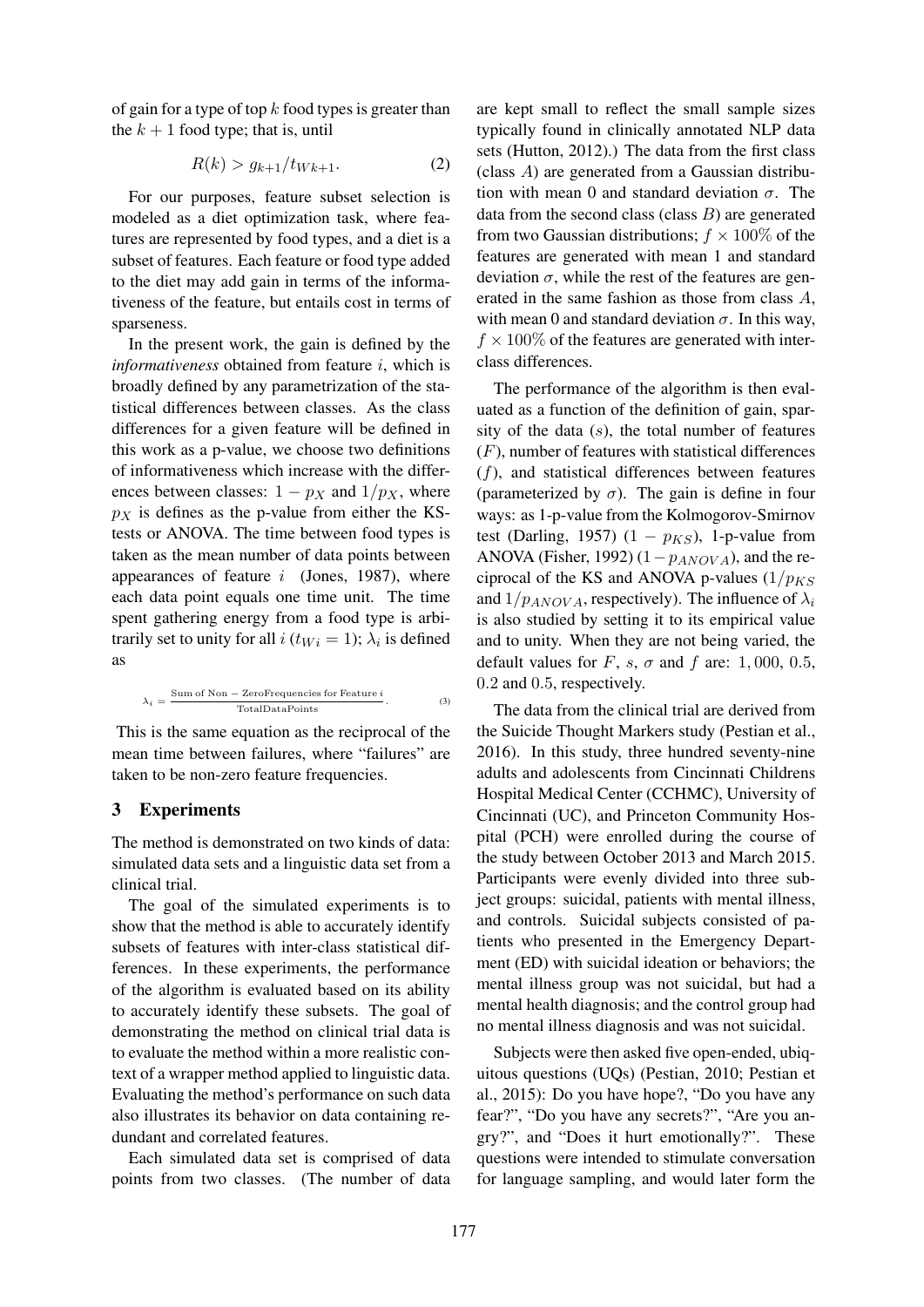of gain for a type of top  $k$  food types is greater than the  $k + 1$  food type; that is, until

$$
R(k) > g_{k+1}/t_{Wk+1}.
$$
 (2)

For our purposes, feature subset selection is modeled as a diet optimization task, where features are represented by food types, and a diet is a subset of features. Each feature or food type added to the diet may add gain in terms of the informativeness of the feature, but entails cost in terms of sparseness.

In the present work, the gain is defined by the *informativeness* obtained from feature i, which is broadly defined by any parametrization of the statistical differences between classes. As the class differences for a given feature will be defined in this work as a p-value, we choose two definitions of informativeness which increase with the differences between classes:  $1 - p_X$  and  $1/p_X$ , where  $p<sub>X</sub>$  is defines as the p-value from either the KStests or ANOVA. The time between food types is taken as the mean number of data points between appearances of feature  $i$  (Jones, 1987), where each data point equals one time unit. The time spent gathering energy from a food type is arbitrarily set to unity for all  $i$  ( $t_{Wi} = 1$ );  $\lambda_i$  is defined as

$$
\lambda_i = \frac{\text{Sum of Non} - \text{ZeroFrequencies for Feature } i}{\text{TotalDataPoints}}. \tag{3}
$$

This is the same equation as the reciprocal of the mean time between failures, where "failures" are taken to be non-zero feature frequencies.

## 3 Experiments

The method is demonstrated on two kinds of data: simulated data sets and a linguistic data set from a clinical trial.

The goal of the simulated experiments is to show that the method is able to accurately identify subsets of features with inter-class statistical differences. In these experiments, the performance of the algorithm is evaluated based on its ability to accurately identify these subsets. The goal of demonstrating the method on clinical trial data is to evaluate the method within a more realistic context of a wrapper method applied to linguistic data. Evaluating the method's performance on such data also illustrates its behavior on data containing redundant and correlated features.

Each simulated data set is comprised of data points from two classes. (The number of data are kept small to reflect the small sample sizes typically found in clinically annotated NLP data sets (Hutton, 2012).) The data from the first class (class A) are generated from a Gaussian distribution with mean 0 and standard deviation  $\sigma$ . The data from the second class (class  $B$ ) are generated from two Gaussian distributions;  $f \times 100\%$  of the features are generated with mean 1 and standard deviation  $\sigma$ , while the rest of the features are generated in the same fashion as those from class A, with mean 0 and standard deviation  $\sigma$ . In this way,  $f \times 100\%$  of the features are generated with interclass differences.

The performance of the algorithm is then evaluated as a function of the definition of gain, sparsity of the data  $(s)$ , the total number of features (F), number of features with statistical differences  $(f)$ , and statistical differences between features (parameterized by  $\sigma$ ). The gain is define in four ways: as 1-p-value from the Kolmogorov-Smirnov test (Darling, 1957) (1 –  $p_{KS}$ ), 1-p-value from ANOVA (Fisher, 1992) (1 $-p_{ANOVA}$ ), and the reciprocal of the KS and ANOVA p-values  $(1/p_{KS})$ and  $1/p_{ANOVA}$ , respectively). The influence of  $\lambda_i$ is also studied by setting it to its empirical value and to unity. When they are not being varied, the default values for F, s,  $\sigma$  and f are: 1,000, 0.5, 0.2 and 0.5, respectively.

The data from the clinical trial are derived from the Suicide Thought Markers study (Pestian et al., 2016). In this study, three hundred seventy-nine adults and adolescents from Cincinnati Childrens Hospital Medical Center (CCHMC), University of Cincinnati (UC), and Princeton Community Hospital (PCH) were enrolled during the course of the study between October 2013 and March 2015. Participants were evenly divided into three subject groups: suicidal, patients with mental illness, and controls. Suicidal subjects consisted of patients who presented in the Emergency Department (ED) with suicidal ideation or behaviors; the mental illness group was not suicidal, but had a mental health diagnosis; and the control group had no mental illness diagnosis and was not suicidal.

Subjects were then asked five open-ended, ubiquitous questions (UQs) (Pestian, 2010; Pestian et al., 2015): Do you have hope?, "Do you have any fear?", "Do you have any secrets?", "Are you angry?", and "Does it hurt emotionally?". These questions were intended to stimulate conversation for language sampling, and would later form the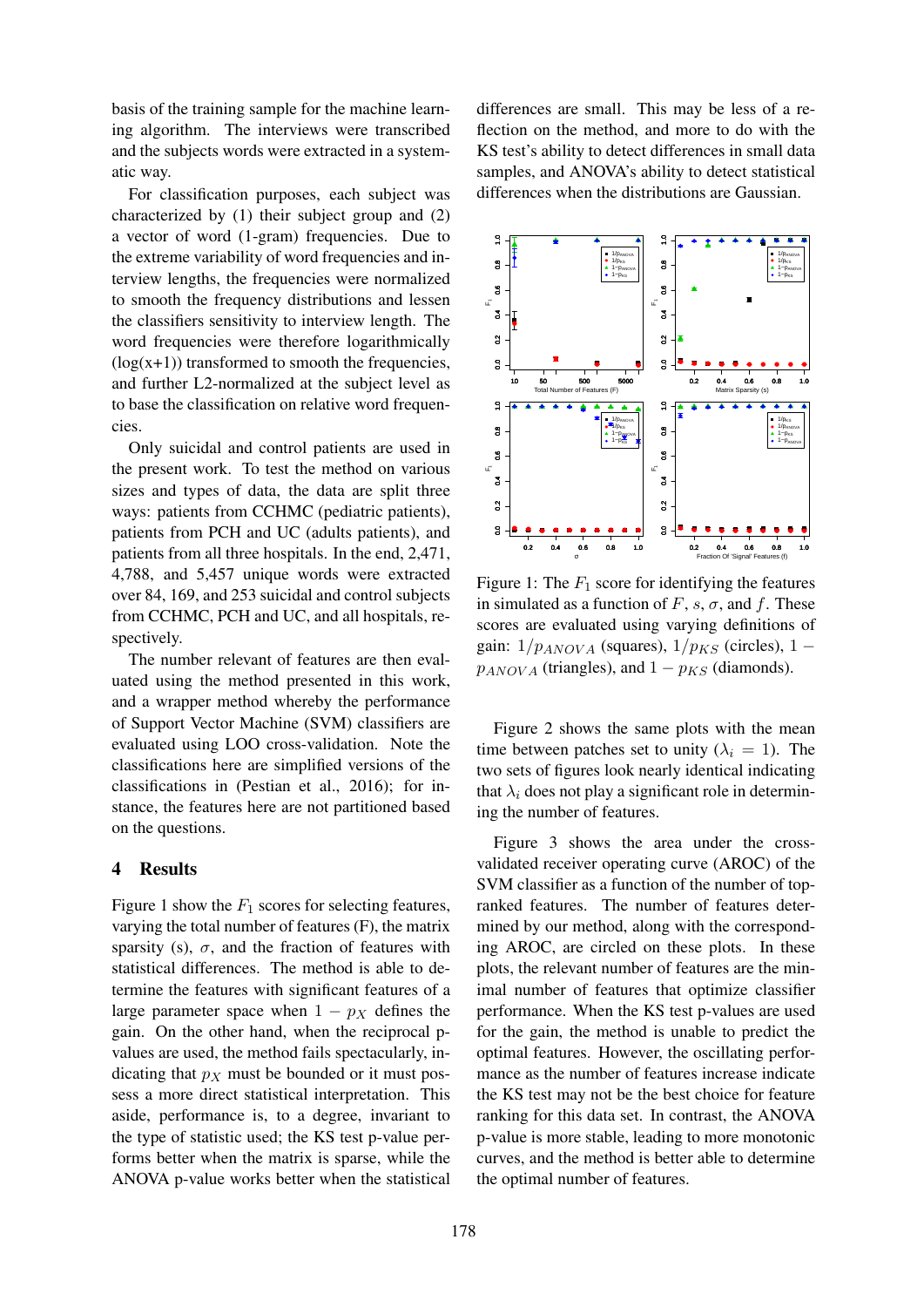basis of the training sample for the machine learning algorithm. The interviews were transcribed and the subjects words were extracted in a systematic way.

For classification purposes, each subject was characterized by (1) their subject group and (2) a vector of word (1-gram) frequencies. Due to the extreme variability of word frequencies and interview lengths, the frequencies were normalized to smooth the frequency distributions and lessen the classifiers sensitivity to interview length. The word frequencies were therefore logarithmically  $(log(x+1))$  transformed to smooth the frequencies, and further L2-normalized at the subject level as to base the classification on relative word frequencies.

Only suicidal and control patients are used in the present work. To test the method on various sizes and types of data, the data are split three ways: patients from CCHMC (pediatric patients), patients from PCH and UC (adults patients), and patients from all three hospitals. In the end, 2,471, 4,788, and 5,457 unique words were extracted over 84, 169, and 253 suicidal and control subjects from CCHMC, PCH and UC, and all hospitals, respectively.

The number relevant of features are then evaluated using the method presented in this work, and a wrapper method whereby the performance of Support Vector Machine (SVM) classifiers are evaluated using LOO cross-validation. Note the classifications here are simplified versions of the classifications in (Pestian et al., 2016); for instance, the features here are not partitioned based on the questions.

## 4 Results

Figure 1 show the  $F_1$  scores for selecting features, varying the total number of features (F), the matrix sparsity (s),  $\sigma$ , and the fraction of features with statistical differences. The method is able to determine the features with significant features of a large parameter space when  $1 - p<sub>X</sub>$  defines the gain. On the other hand, when the reciprocal pvalues are used, the method fails spectacularly, indicating that  $p<sub>X</sub>$  must be bounded or it must possess a more direct statistical interpretation. This aside, performance is, to a degree, invariant to the type of statistic used; the KS test p-value performs better when the matrix is sparse, while the ANOVA p-value works better when the statistical

differences are small. This may be less of a reflection on the method, and more to do with the KS test's ability to detect differences in small data samples, and ANOVA's ability to detect statistical differences when the distributions are Gaussian.



Figure 1: The  $F_1$  score for identifying the features in simulated as a function of  $F$ , s,  $\sigma$ , and f. These scores are evaluated using varying definitions of gain:  $1/p_{ANOVA}$  (squares),  $1/p_{KS}$  (circles),  $1$  $p_{ANOVA}$  (triangles), and  $1 - p_{KS}$  (diamonds).

Figure 2 shows the same plots with the mean time between patches set to unity ( $\lambda_i = 1$ ). The two sets of figures look nearly identical indicating that  $\lambda_i$  does not play a significant role in determining the number of features.

Figure 3 shows the area under the crossvalidated receiver operating curve (AROC) of the SVM classifier as a function of the number of topranked features. The number of features determined by our method, along with the corresponding AROC, are circled on these plots. In these plots, the relevant number of features are the minimal number of features that optimize classifier performance. When the KS test p-values are used for the gain, the method is unable to predict the optimal features. However, the oscillating performance as the number of features increase indicate the KS test may not be the best choice for feature ranking for this data set. In contrast, the ANOVA p-value is more stable, leading to more monotonic curves, and the method is better able to determine the optimal number of features.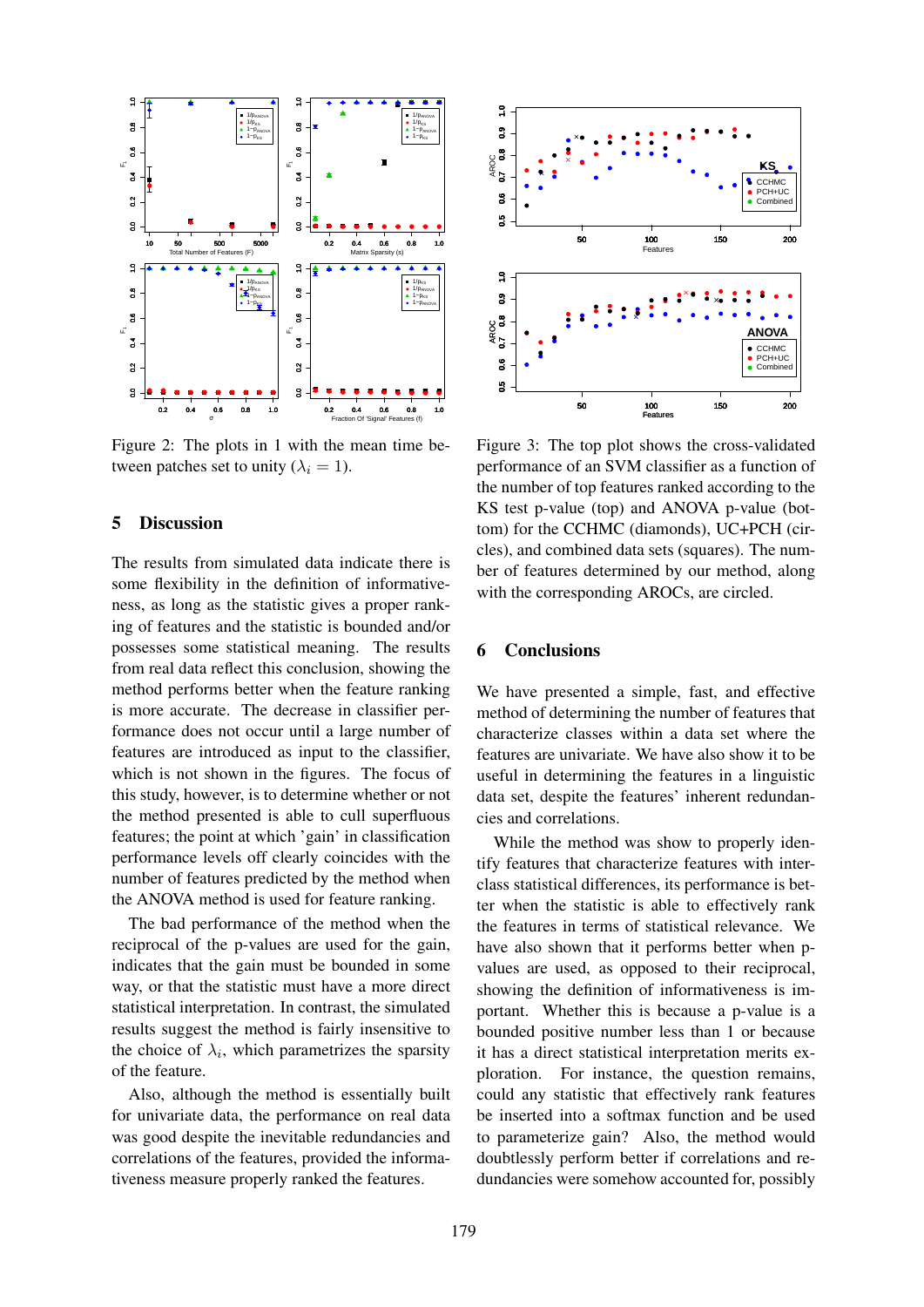

Figure 2: The plots in 1 with the mean time between patches set to unity  $(\lambda_i = 1)$ .

### 5 Discussion

The results from simulated data indicate there is some flexibility in the definition of informativeness, as long as the statistic gives a proper ranking of features and the statistic is bounded and/or possesses some statistical meaning. The results from real data reflect this conclusion, showing the method performs better when the feature ranking is more accurate. The decrease in classifier performance does not occur until a large number of features are introduced as input to the classifier, which is not shown in the figures. The focus of this study, however, is to determine whether or not the method presented is able to cull superfluous features; the point at which 'gain' in classification performance levels off clearly coincides with the number of features predicted by the method when the ANOVA method is used for feature ranking.

The bad performance of the method when the reciprocal of the p-values are used for the gain, indicates that the gain must be bounded in some way, or that the statistic must have a more direct statistical interpretation. In contrast, the simulated results suggest the method is fairly insensitive to the choice of  $\lambda_i$ , which parametrizes the sparsity of the feature.

Also, although the method is essentially built for univariate data, the performance on real data was good despite the inevitable redundancies and correlations of the features, provided the informativeness measure properly ranked the features.



Figure 3: The top plot shows the cross-validated performance of an SVM classifier as a function of the number of top features ranked according to the KS test p-value (top) and ANOVA p-value (bottom) for the CCHMC (diamonds), UC+PCH (circles), and combined data sets (squares). The number of features determined by our method, along with the corresponding AROCs, are circled.

### 6 Conclusions

We have presented a simple, fast, and effective method of determining the number of features that characterize classes within a data set where the features are univariate. We have also show it to be useful in determining the features in a linguistic data set, despite the features' inherent redundancies and correlations.

While the method was show to properly identify features that characterize features with interclass statistical differences, its performance is better when the statistic is able to effectively rank the features in terms of statistical relevance. We have also shown that it performs better when pvalues are used, as opposed to their reciprocal, showing the definition of informativeness is important. Whether this is because a p-value is a bounded positive number less than 1 or because it has a direct statistical interpretation merits exploration. For instance, the question remains, could any statistic that effectively rank features be inserted into a softmax function and be used to parameterize gain? Also, the method would doubtlessly perform better if correlations and redundancies were somehow accounted for, possibly